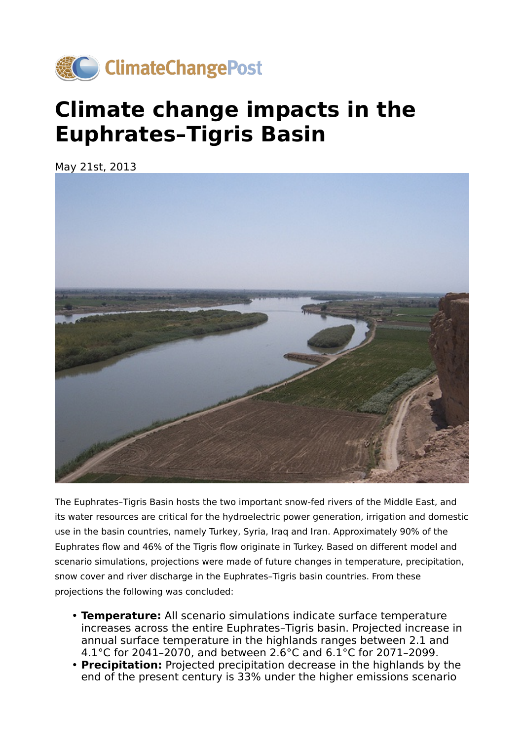

## **Climate change impacts in the Euphrates–Tigris Basin**

May 21st, 2013



The Euphrates–Tigris Basin hosts the two important snow-fed rivers of the Middle East, and its water resources are critical for the hydroelectric power generation, irrigation and domestic use in the basin countries, namely Turkey, Syria, Iraq and Iran. Approximately 90% of the Euphrates flow and 46% of the Tigris flow originate in Turkey. Based on different model and scenario simulations, projections were made of future changes in temperature, precipitation, snow cover and river discharge in the Euphrates–Tigris basin countries. From these projections the following was concluded:

- **Temperature:** All scenario simulations indicate surface temperature increases across the entire Euphrates–Tigris basin. Projected increase in annual surface temperature in the highlands ranges between 2.1 and 4.1°C for 2041–2070, and between 2.6°C and 6.1°C for 2071–2099.
- **Precipitation:** Projected precipitation decrease in the highlands by the end of the present century is 33% under the higher emissions scenario